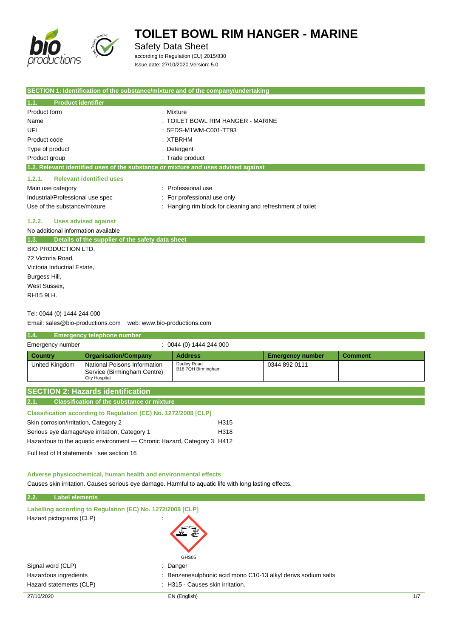

Safety Data Sheet

according to Regulation (EU) 2015/830 Issue date: 27/10/2020 Version: 5.0

|                                                                 | SECTION 1: Identification of the substance/mixture and of the company/undertaking  |
|-----------------------------------------------------------------|------------------------------------------------------------------------------------|
| 1.1.<br><b>Product identifier</b>                               |                                                                                    |
| Product form                                                    | : Mixture                                                                          |
| Name                                                            | : TOILET BOWL RIM HANGER - MARINE                                                  |
| UFI                                                             | : 5EDS-M1WM-C001-TT93                                                              |
| Product code                                                    | : XTBRHM                                                                           |
| Type of product                                                 | : Detergent                                                                        |
| Product group                                                   | : Trade product                                                                    |
|                                                                 | 1.2. Relevant identified uses of the substance or mixture and uses advised against |
| 1.2.1.<br><b>Relevant identified uses</b>                       |                                                                                    |
| Main use category                                               | : Professional use                                                                 |
| Industrial/Professional use spec                                | For professional use only                                                          |
| Use of the substance/mixture                                    | : Hanging rim block for cleaning and refreshment of toilet                         |
| <b>Uses advised against</b><br>1.2.2.                           |                                                                                    |
| No additional information available                             |                                                                                    |
| 1.3.<br>Details of the supplier of the safety data sheet        |                                                                                    |
| <b>BIO PRODUCTION LTD.</b>                                      |                                                                                    |
| 72 Victoria Road,                                               |                                                                                    |
| Victoria Inductrial Estate,                                     |                                                                                    |
| Burgess Hill,                                                   |                                                                                    |
| West Sussex,                                                    |                                                                                    |
| <b>RH15 9LH.</b>                                                |                                                                                    |
| Tel: 0044 (0) 1444 244 000                                      |                                                                                    |
| Email: sales@bio-productions.com   web: www.bio-productions.com |                                                                                    |

#### **1.4. Emergency telephone number** Emergency number : 0044 (0) 1444 244 000 **Country Organisation/Company Address Emergency number Comment** United Kingdom | National Poisons Information Service (Birmingham Centre) City Hospital Dudley Road B18 7QH Birmingham 0344 892 0111 **SECTION 2: Hazards identification**

| 2.1. |  |  | <b>Classification of the substance or mixture</b> |  |
|------|--|--|---------------------------------------------------|--|

| <b>Classification according to Regulation (EC) No. 1272/2008 [CLP]</b> |      |
|------------------------------------------------------------------------|------|
| Skin corrosion/irritation, Category 2                                  | H315 |
| Serious eye damage/eye irritation, Category 1                          | H318 |
| Hazardous to the aguatic environment — Chronic Hazard, Category 3 H412 |      |

Full text of H statements : see section 16

**Adverse physicochemical, human health and environmental effects**

Causes skin irritation. Causes serious eye damage. Harmful to aquatic life with long lasting effects.

## 27/10/2020 EN (English) 1/7 **2.2. Label elements Labelling according to Regulation (EC) No. 1272/2008 [CLP]** Hazard pictograms (CLP) : GHS05 Signal word (CLP) : Danger Hazardous ingredients **in the state of the state of the state of the state of the state of the state of the state** Hazard statements (CLP) : H315 - Causes skin irritation.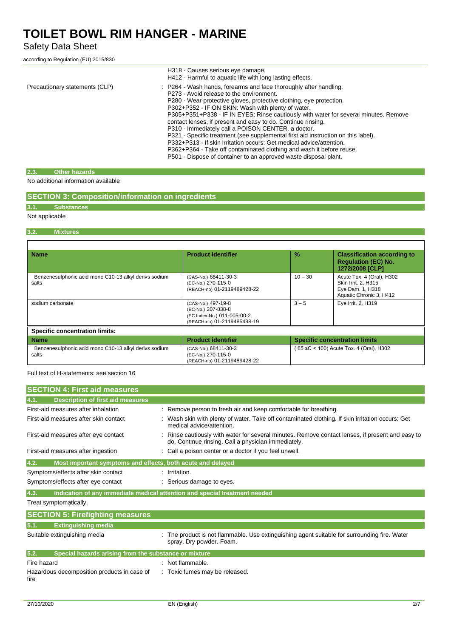## Safety Data Sheet

according to Regulation (EU) 2015/830

|                                | H318 - Causes serious eye damage.<br>H412 - Harmful to aquatic life with long lasting effects.                                                                                                                                                                                                                                                                                                                                                                                                                                                                                                                                                                                                                                                                    |
|--------------------------------|-------------------------------------------------------------------------------------------------------------------------------------------------------------------------------------------------------------------------------------------------------------------------------------------------------------------------------------------------------------------------------------------------------------------------------------------------------------------------------------------------------------------------------------------------------------------------------------------------------------------------------------------------------------------------------------------------------------------------------------------------------------------|
| Precautionary statements (CLP) | : P264 - Wash hands, forearms and face thoroughly after handling.<br>P273 - Avoid release to the environment.<br>P280 - Wear protective gloves, protective clothing, eye protection.<br>P302+P352 - IF ON SKIN: Wash with plenty of water.<br>P305+P351+P338 - IF IN EYES: Rinse cautiously with water for several minutes. Remove<br>contact lenses, if present and easy to do. Continue rinsing.<br>P310 - Immediately call a POISON CENTER, a doctor.<br>P321 - Specific treatment (see supplemental first aid instruction on this label).<br>P332+P313 - If skin irritation occurs: Get medical advice/attention.<br>P362+P364 - Take off contaminated clothing and wash it before reuse.<br>P501 - Dispose of container to an approved waste disposal plant. |

### **2.3. Other hazards**

No additional information available

## **SECTION 3: Composition/information on ingredients**

## **3.1. Substances**

### Not applicable

#### **3.2. Mixtures**

| <b>Name</b>                                                    | <b>Product identifier</b>                                                                              | $\frac{0}{2}$                           | <b>Classification according to</b><br><b>Regulation (EC) No.</b><br>1272/2008 [CLP]             |  |
|----------------------------------------------------------------|--------------------------------------------------------------------------------------------------------|-----------------------------------------|-------------------------------------------------------------------------------------------------|--|
| Benzenesulphonic acid mono C10-13 alkyl derivs sodium<br>salts | (CAS-No.) 68411-30-3<br>(EC-No.) 270-115-0<br>(REACH-no) 01-2119489428-22                              | $10 - 30$                               | Acute Tox. 4 (Oral), H302<br>Skin Irrit. 2, H315<br>Eye Dam. 1, H318<br>Aquatic Chronic 3, H412 |  |
| sodium carbonate                                               | (CAS-No.) 497-19-8<br>(EC-No.) 207-838-8<br>(EC Index-No.) 011-005-00-2<br>(REACH-no) 01-2119485498-19 | $3 - 5$                                 | Eye Irrit. 2, H319                                                                              |  |
| <b>Specific concentration limits:</b>                          |                                                                                                        |                                         |                                                                                                 |  |
| <b>Name</b>                                                    | <b>Product identifier</b>                                                                              |                                         | <b>Specific concentration limits</b>                                                            |  |
| Benzenesulphonic acid mono C10-13 alkyl derivs sodium<br>salts | (CAS-No.) 68411-30-3<br>(EC-No.) 270-115-0<br>(REACH-no) 01-2119489428-22                              | (65 ≤C < 100) Acute Tox. 4 (Oral), H302 |                                                                                                 |  |

Full text of H-statements: see section 16

| <b>SECTION 4: First aid measures</b>                                |                                                                                                                                                       |
|---------------------------------------------------------------------|-------------------------------------------------------------------------------------------------------------------------------------------------------|
| <b>Description of first aid measures</b><br>4.1.                    |                                                                                                                                                       |
| First-aid measures after inhalation                                 | Remove person to fresh air and keep comfortable for breathing.                                                                                        |
| First-aid measures after skin contact                               | Wash skin with plenty of water. Take off contaminated clothing. If skin irritation occurs: Get<br>medical advice/attention.                           |
| First-aid measures after eye contact                                | Rinse cautiously with water for several minutes. Remove contact lenses, if present and easy to<br>do. Continue rinsing. Call a physician immediately. |
| First-aid measures after ingestion                                  | Call a poison center or a doctor if you feel unwell.                                                                                                  |
| 4.2.<br>Most important symptoms and effects, both acute and delayed |                                                                                                                                                       |
| Symptoms/effects after skin contact                                 | Irritation.                                                                                                                                           |
| Symptoms/effects after eye contact                                  | Serious damage to eyes.                                                                                                                               |
| 4.3.                                                                | Indication of any immediate medical attention and special treatment needed                                                                            |
| Treat symptomatically.                                              |                                                                                                                                                       |
| <b>SECTION 5: Firefighting measures</b>                             |                                                                                                                                                       |
| 5.1.<br><b>Extinguishing media</b>                                  |                                                                                                                                                       |
| Suitable extinguishing media                                        | The product is not flammable. Use extinguishing agent suitable for surrounding fire. Water<br>spray. Dry powder. Foam.                                |
| 5.2.<br>Special hazards arising from the substance or mixture       |                                                                                                                                                       |
| Fire hazard                                                         | : Not flammable.                                                                                                                                      |
| Hazardous decomposition products in case of<br>fire                 | : Toxic fumes may be released.                                                                                                                        |

h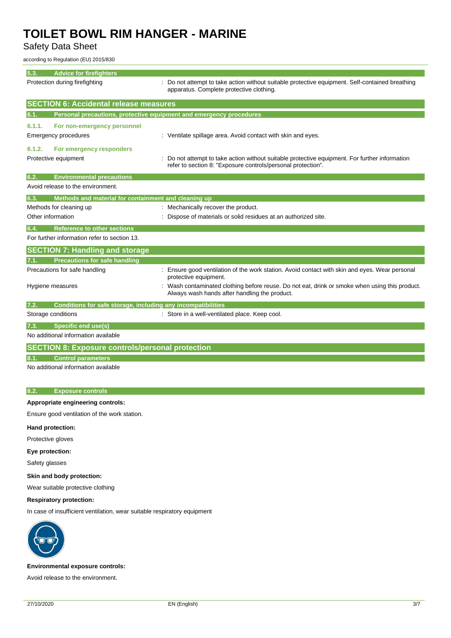Safety Data Sheet

according to Regulation (EU) 2015/830

#### **5.3. Advice for firefight**

| $\mathbf{v} \cdot \mathbf{v}$ | <b>AUVILG IVE III GIINII DI</b><br>Protection during firefighting   | Do not attempt to take action without suitable protective equipment. Self-contained breathing<br>apparatus. Complete protective clothing.                    |
|-------------------------------|---------------------------------------------------------------------|--------------------------------------------------------------------------------------------------------------------------------------------------------------|
|                               | <b>SECTION 6: Accidental release measures</b>                       |                                                                                                                                                              |
| 6.1.                          | Personal precautions, protective equipment and emergency procedures |                                                                                                                                                              |
| 6.1.1.                        | For non-emergency personnel                                         |                                                                                                                                                              |
|                               | Emergency procedures                                                | : Ventilate spillage area. Avoid contact with skin and eyes.                                                                                                 |
| 6.1.2.                        | For emergency responders                                            |                                                                                                                                                              |
|                               | Protective equipment                                                | Do not attempt to take action without suitable protective equipment. For further information<br>refer to section 8: "Exposure controls/personal protection". |
| 6.2.                          | <b>Environmental precautions</b>                                    |                                                                                                                                                              |
|                               | Avoid release to the environment.                                   |                                                                                                                                                              |
| 6.3.                          | Methods and material for containment and cleaning up                |                                                                                                                                                              |
|                               | Methods for cleaning up                                             | : Mechanically recover the product.                                                                                                                          |
|                               | Other information                                                   | Dispose of materials or solid residues at an authorized site.                                                                                                |
| 6.4.                          | <b>Reference to other sections</b>                                  |                                                                                                                                                              |
|                               | For further information refer to section 13.                        |                                                                                                                                                              |
|                               | <b>SECTION 7: Handling and storage</b>                              |                                                                                                                                                              |
| 7.1.                          | <b>Precautions for safe handling</b>                                |                                                                                                                                                              |
|                               | Precautions for safe handling                                       | Ensure good ventilation of the work station. Avoid contact with skin and eyes. Wear personal<br>protective equipment.                                        |
|                               | Hygiene measures                                                    | Wash contaminated clothing before reuse. Do not eat, drink or smoke when using this product.<br>Always wash hands after handling the product.                |
| 7.2.                          | Conditions for safe storage, including any incompatibilities        |                                                                                                                                                              |
|                               | Storage conditions                                                  | : Store in a well-ventilated place. Keep cool.                                                                                                               |
| 7.3.                          | <b>Specific end use(s)</b>                                          |                                                                                                                                                              |
|                               | No additional information available                                 |                                                                                                                                                              |
|                               | <b>SECTION 8: Exposure controls/personal protection</b>             |                                                                                                                                                              |
|                               | <b>Control parameters</b>                                           |                                                                                                                                                              |
|                               | No additional information available                                 |                                                                                                                                                              |

#### **8.2. Exposure controls**

#### **Appropriate engineering controls:**

Ensure good ventilation of the work station.

#### **Hand protection:**

Protective gloves

### **Eye protection:**

Safety glasses

#### **Skin and body protection:**

Wear suitable protective clothing

#### **Respiratory protection:**

In case of insufficient ventilation, wear suitable respiratory equipment



#### **Environmental exposure controls:**

Avoid release to the environment.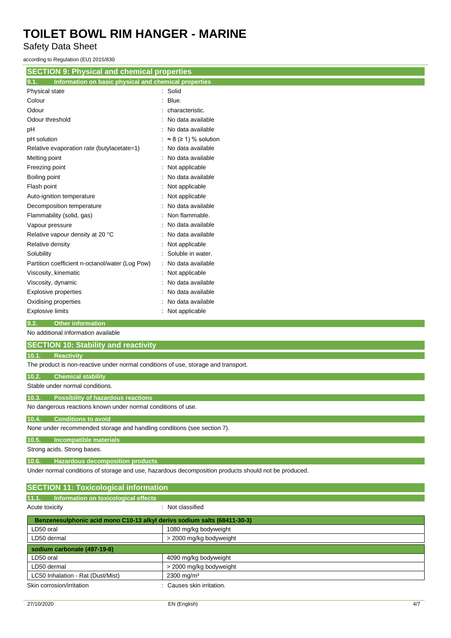Safety Data Sheet

according to Regulation (EU) 2015/830

| <b>SECTION 9: Physical and chemical properties</b>                                 |                                    |  |
|------------------------------------------------------------------------------------|------------------------------------|--|
| Information on basic physical and chemical properties<br>9.1.                      |                                    |  |
| Physical state                                                                     | Solid                              |  |
| Colour                                                                             | Blue.                              |  |
| Odour                                                                              | characteristic.                    |  |
| Odour threshold                                                                    | No data available                  |  |
| pH                                                                                 | No data available                  |  |
| pH solution                                                                        | $\approx$ 8 ( $\geq$ 1) % solution |  |
| Relative evaporation rate (butylacetate=1)                                         | No data available                  |  |
| Melting point                                                                      | No data available                  |  |
| Freezing point                                                                     | Not applicable                     |  |
| Boiling point                                                                      | No data available                  |  |
| Flash point                                                                        | Not applicable                     |  |
| Auto-ignition temperature                                                          | Not applicable                     |  |
| Decomposition temperature                                                          | No data available                  |  |
| Flammability (solid, gas)                                                          | Non flammable.                     |  |
| Vapour pressure                                                                    | No data available                  |  |
| Relative vapour density at 20 °C                                                   | No data available                  |  |
| Relative density                                                                   | Not applicable                     |  |
| Solubility                                                                         | Soluble in water.                  |  |
| Partition coefficient n-octanol/water (Log Pow)                                    | No data available                  |  |
| Viscosity, kinematic                                                               | Not applicable                     |  |
| Viscosity, dynamic                                                                 | No data available                  |  |
| <b>Explosive properties</b>                                                        | No data available                  |  |
| Oxidising properties                                                               | No data available                  |  |
| <b>Explosive limits</b>                                                            | Not applicable                     |  |
| 9.2.<br><b>Other information</b>                                                   |                                    |  |
| No additional information available                                                |                                    |  |
| <b>SECTION 10: Stability and reactivity</b>                                        |                                    |  |
| 10.1.<br><b>Reactivity</b>                                                         |                                    |  |
| The product is non-reactive under normal conditions of use, storage and transport. |                                    |  |

**10.2. Chemical stability**

Stable under normal conditions.

**10.3. Possibility of hazardous reactions**

No dangerous reactions known under normal conditions of use.

### **10.4. Conditions to avoid**

None under recommended storage and handling conditions (see section 7).

**10.5. Incompatible materials**

Strong acids. Strong bases.

**10.6. Hazardous decomposition products**

Under normal conditions of storage and use, hazardous decomposition products should not be produced.

| <b>SECTION 11: Toxicological information</b>                             |                         |  |
|--------------------------------------------------------------------------|-------------------------|--|
| 11.1.<br>Information on toxicological effects                            |                         |  |
| Acute toxicity                                                           | : Not classified        |  |
| Benzenesulphonic acid mono C10-13 alkyl derivs sodium salts (68411-30-3) |                         |  |
| LD50 oral                                                                | 1080 mg/kg bodyweight   |  |
| LD50 dermal                                                              | > 2000 mg/kg bodyweight |  |
| sodium carbonate (497-19-8)                                              |                         |  |
| LD50 oral                                                                | 4090 mg/kg bodyweight   |  |
| LD50 dermal                                                              | > 2000 mg/kg bodyweight |  |
| LC50 Inhalation - Rat (Dust/Mist)                                        | $2300 \text{ mg/m}^3$   |  |
| Skin corrosion/irritation                                                | Causes skin irritation. |  |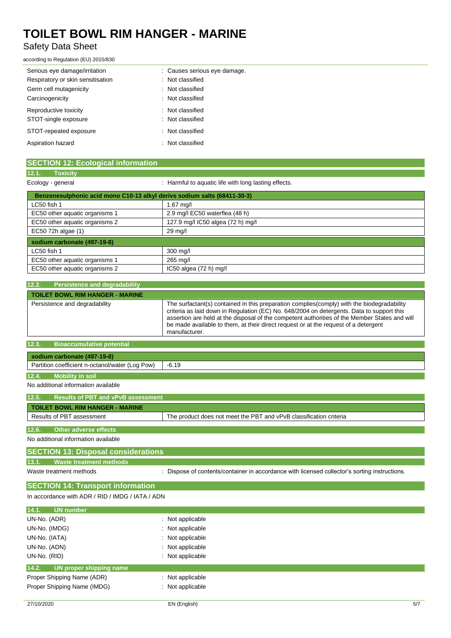## Safety Data Sheet

according to Regulation (EU) 2015/830

| Serious eye damage/irritation     | : Causes serious eye damage. |
|-----------------------------------|------------------------------|
| Respiratory or skin sensitisation | : Not classified             |
| Germ cell mutagenicity            | : Not classified             |
| Carcinogenicity                   | : Not classified             |
| Reproductive toxicity             | : Not classified             |
| STOT-single exposure              | : Not classified             |
| STOT-repeated exposure            | : Not classified             |
| Aspiration hazard                 | : Not classified             |

| <b>SECTION 12: Ecological information</b>                                |                                                      |  |
|--------------------------------------------------------------------------|------------------------------------------------------|--|
| 12.1.<br><b>Toxicity</b>                                                 |                                                      |  |
| Ecology - general                                                        | : Harmful to aquatic life with long lasting effects. |  |
| Benzenesulphonic acid mono C10-13 alkyl derivs sodium salts (68411-30-3) |                                                      |  |

| LC50 fish 1                    | 1.67 mg/l                         |
|--------------------------------|-----------------------------------|
| EC50 other aquatic organisms 1 | 2.9 mg/l EC50 waterflea (48 h)    |
| EC50 other aquatic organisms 2 | 127.9 mg/l IC50 algea (72 h) mg/l |
| EC50 72h algae (1)             | 29 mg/l                           |
| sodium carbonate (497-19-8)    |                                   |
| LC50 fish 1                    | 300 mg/l                          |
| EC50 other aquatic organisms 1 | 265 mg/l                          |
| EC50 other aquatic organisms 2 | $IC50$ algea $(72 h)$ mg/l        |

| Persistence and degradability<br>12.2.    |                                                                                                                                                                                                                                                                                                                                                                                                   |  |
|-------------------------------------------|---------------------------------------------------------------------------------------------------------------------------------------------------------------------------------------------------------------------------------------------------------------------------------------------------------------------------------------------------------------------------------------------------|--|
| <b>TOILET BOWL RIM HANGER - MARINE</b>    |                                                                                                                                                                                                                                                                                                                                                                                                   |  |
| Persistence and degradability             | The surfactant(s) contained in this preparation complies (comply) with the biodegradability<br>criteria as laid down in Regulation (EC) No. 648/2004 on detergents. Data to support this<br>assertion are held at the disposal of the competent authorities of the Member States and will<br>be made available to them, at their direct request or at the request of a detergent<br>manufacturer. |  |
| 12.3.<br><b>Bioaccumulative potential</b> |                                                                                                                                                                                                                                                                                                                                                                                                   |  |

| sodium carbonate (497-19-8)                     |         |
|-------------------------------------------------|---------|
| Partition coefficient n-octanol/water (Log Pow) | $-6.19$ |
|                                                 |         |

## **12.4. Mobility in soil**

No additional information available

| 12.5.                                                                                           | <b>Results of PBT and vPvB assessment</b> |  |
|-------------------------------------------------------------------------------------------------|-------------------------------------------|--|
| <b>TOILET BOWL RIM HANGER - MARINE</b>                                                          |                                           |  |
| The product does not meet the PBT and vPvB classification criteria<br>Results of PBT assessment |                                           |  |
|                                                                                                 |                                           |  |
| 12.6.<br>Other adverse effects                                                                  |                                           |  |
| No additional information available                                                             |                                           |  |
| SECTION 12: Disposal considerations                                                             |                                           |  |

## **SECTION 13: Disposal considerations 13.1. Waste treatment methods**

Waste treatment methods : Dispose of contents/container in accordance with licensed collector's sorting instructions.

### **SECTION 14: Transport information**

In accordance with ADR / RID / IMDG / IATA / ADN

| 14.1.<br>UN number               |                             |
|----------------------------------|-----------------------------|
| UN-No. (ADR)                     | $\therefore$ Not applicable |
| UN-No. (IMDG)                    | : Not applicable            |
| UN-No. (IATA)                    | $\therefore$ Not applicable |
| UN-No. (ADN)                     | : Not applicable            |
| UN-No. (RID)                     | $\therefore$ Not applicable |
| 14.2.<br>UN proper shipping name |                             |
| Proper Shipping Name (ADR)       | : Not applicable            |
| Proper Shipping Name (IMDG)      | : Not applicable            |
|                                  |                             |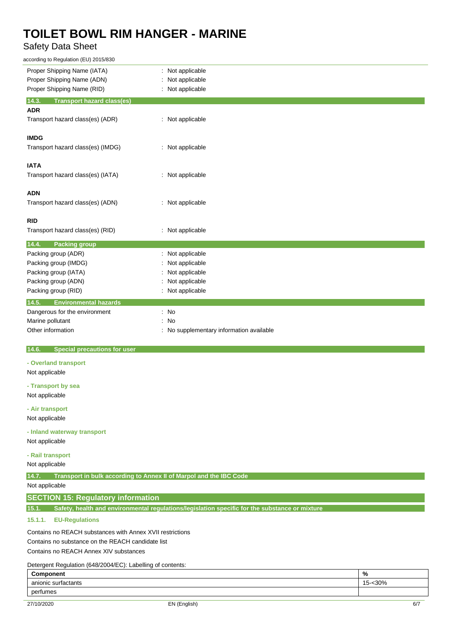## Safety Data Sheet

| according to Regulation (EU) 2015/830                                                                   |                                                                    |  |
|---------------------------------------------------------------------------------------------------------|--------------------------------------------------------------------|--|
| Proper Shipping Name (IATA)                                                                             | : Not applicable                                                   |  |
| Proper Shipping Name (ADN)                                                                              | Not applicable<br>÷                                                |  |
| Proper Shipping Name (RID)                                                                              | Not applicable                                                     |  |
| 14.3.<br><b>Transport hazard class(es)</b><br><b>ADR</b>                                                |                                                                    |  |
| Transport hazard class(es) (ADR)                                                                        | : Not applicable                                                   |  |
|                                                                                                         |                                                                    |  |
| <b>IMDG</b>                                                                                             |                                                                    |  |
| Transport hazard class(es) (IMDG)                                                                       | : Not applicable                                                   |  |
|                                                                                                         |                                                                    |  |
| <b>IATA</b>                                                                                             |                                                                    |  |
| Transport hazard class(es) (IATA)                                                                       | : Not applicable                                                   |  |
|                                                                                                         |                                                                    |  |
| <b>ADN</b>                                                                                              |                                                                    |  |
| Transport hazard class(es) (ADN)                                                                        | : Not applicable                                                   |  |
|                                                                                                         |                                                                    |  |
| <b>RID</b>                                                                                              |                                                                    |  |
| Transport hazard class(es) (RID)                                                                        | : Not applicable                                                   |  |
|                                                                                                         |                                                                    |  |
| <b>Packing group</b><br>14.4.                                                                           |                                                                    |  |
| Packing group (ADR)                                                                                     | Not applicable                                                     |  |
| Packing group (IMDG)                                                                                    | Not applicable                                                     |  |
| Packing group (IATA)                                                                                    | Not applicable                                                     |  |
| Packing group (ADN)                                                                                     | Not applicable                                                     |  |
| Packing group (RID)                                                                                     | Not applicable                                                     |  |
| 14.5.<br><b>Environmental hazards</b>                                                                   |                                                                    |  |
| Dangerous for the environment                                                                           | : No                                                               |  |
| Marine pollutant                                                                                        | No<br>÷                                                            |  |
| Other information                                                                                       | No supplementary information available<br>÷                        |  |
|                                                                                                         |                                                                    |  |
| 14.6.<br><b>Special precautions for user</b>                                                            |                                                                    |  |
| - Overland transport                                                                                    |                                                                    |  |
| Not applicable                                                                                          |                                                                    |  |
|                                                                                                         |                                                                    |  |
| - Transport by sea                                                                                      |                                                                    |  |
| Not applicable                                                                                          |                                                                    |  |
| - Air transport                                                                                         |                                                                    |  |
| Not applicable                                                                                          |                                                                    |  |
|                                                                                                         |                                                                    |  |
| - Inland waterway transport                                                                             |                                                                    |  |
| Not applicable                                                                                          |                                                                    |  |
| - Rail transport                                                                                        |                                                                    |  |
| Not applicable                                                                                          |                                                                    |  |
|                                                                                                         |                                                                    |  |
| 14.7.                                                                                                   | Transport in bulk according to Annex II of Marpol and the IBC Code |  |
| Not applicable                                                                                          |                                                                    |  |
| <b>SECTION 15: Regulatory information</b>                                                               |                                                                    |  |
| Safety, health and environmental regulations/legislation specific for the substance or mixture<br>15.1. |                                                                    |  |
| <b>EU-Regulations</b><br>15.1.1.                                                                        |                                                                    |  |
|                                                                                                         |                                                                    |  |
| Contains no REACH substances with Annex XVII restrictions                                               |                                                                    |  |

Contains no substance on the REACH candidate list

Contains no REACH Annex XIV substances

Detergent Regulation (648/2004/EC): Labelling of contents:

| Component           | $\mathbf{0}$<br>70                    |
|---------------------|---------------------------------------|
| anionic surfactants | 30%<br>$\overline{ }$<br><u> ~ - </u> |
| perfumes            |                                       |